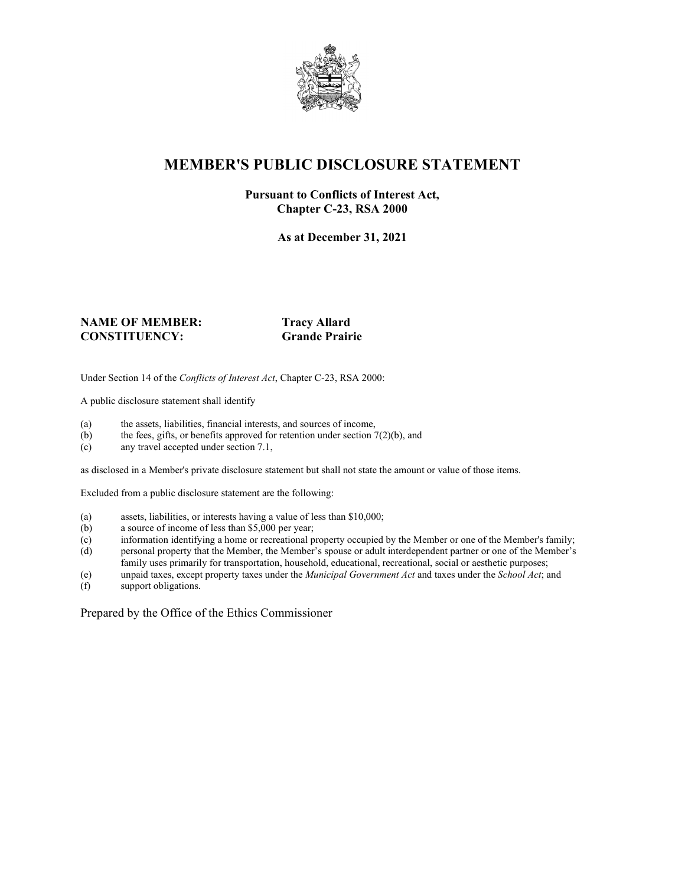

### **MEMBER'S PUBLIC DISCLOSURE STATEMENT**

#### **Pursuant to Conflicts of Interest Act, Chapter C-23, RSA 2000**

**As at December 31, 2021**

#### **NAME OF MEMBER:** Tracy Allard<br> **CONSTITUENCY:** Grande Prairie  $CONSTITUENCEY:$

Under Section 14 of the *Conflicts of Interest Act*, Chapter C-23, RSA 2000:

A public disclosure statement shall identify

- (a) the assets, liabilities, financial interests, and sources of income,  $(b)$  the fees, gifts, or benefits approved for retention under section 7
- the fees, gifts, or benefits approved for retention under section  $7(2)(b)$ , and
- (c) any travel accepted under section 7.1,

as disclosed in a Member's private disclosure statement but shall not state the amount or value of those items.

Excluded from a public disclosure statement are the following:

- (a) assets, liabilities, or interests having a value of less than \$10,000;<br>(b) a source of income of less than \$5,000 per year;
- a source of income of less than  $$5,000$  per year;
- (c) information identifying a home or recreational property occupied by the Member or one of the Member's family;
- (d) personal property that the Member, the Member's spouse or adult interdependent partner or one of the Member's family uses primarily for transportation, household, educational, recreational, social or aesthetic purposes;
- (e) unpaid taxes, except property taxes under the *Municipal Government Act* and taxes under the *School Act*; and
- (f) support obligations.

Prepared by the Office of the Ethics Commissioner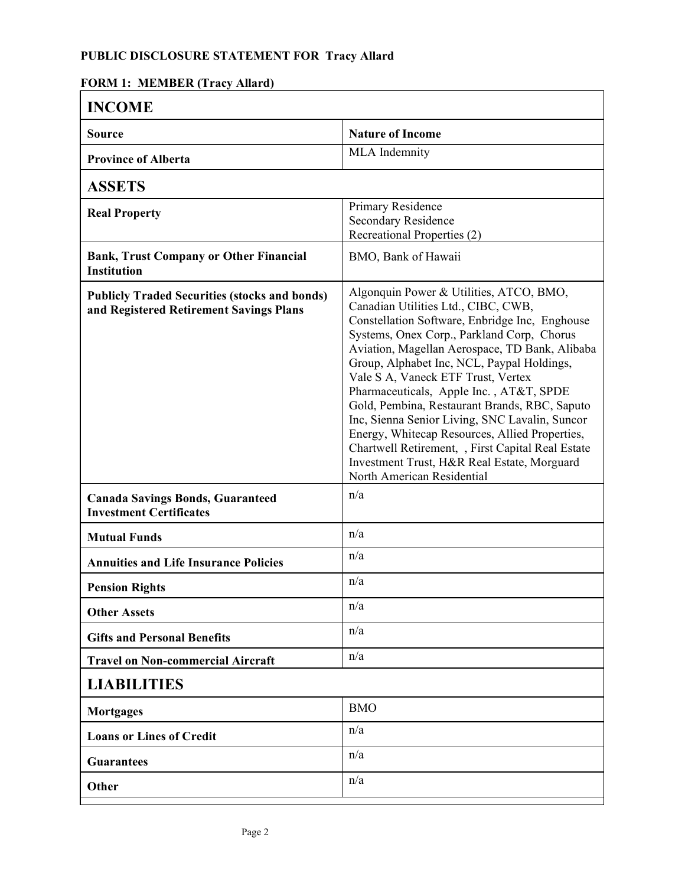### **FORM 1: MEMBER (Tracy Allard)**

| <b>INCOME</b>                                                                                   |                                                                                                                                                                                                                                                                                                                                                                                                                                                                                                                                                                                                                                                        |  |
|-------------------------------------------------------------------------------------------------|--------------------------------------------------------------------------------------------------------------------------------------------------------------------------------------------------------------------------------------------------------------------------------------------------------------------------------------------------------------------------------------------------------------------------------------------------------------------------------------------------------------------------------------------------------------------------------------------------------------------------------------------------------|--|
| Source                                                                                          | <b>Nature of Income</b>                                                                                                                                                                                                                                                                                                                                                                                                                                                                                                                                                                                                                                |  |
| <b>Province of Alberta</b>                                                                      | MLA Indemnity                                                                                                                                                                                                                                                                                                                                                                                                                                                                                                                                                                                                                                          |  |
| <b>ASSETS</b>                                                                                   |                                                                                                                                                                                                                                                                                                                                                                                                                                                                                                                                                                                                                                                        |  |
| <b>Real Property</b>                                                                            | Primary Residence<br>Secondary Residence<br>Recreational Properties (2)                                                                                                                                                                                                                                                                                                                                                                                                                                                                                                                                                                                |  |
| <b>Bank, Trust Company or Other Financial</b><br><b>Institution</b>                             | BMO, Bank of Hawaii                                                                                                                                                                                                                                                                                                                                                                                                                                                                                                                                                                                                                                    |  |
| <b>Publicly Traded Securities (stocks and bonds)</b><br>and Registered Retirement Savings Plans | Algonquin Power & Utilities, ATCO, BMO,<br>Canadian Utilities Ltd., CIBC, CWB,<br>Constellation Software, Enbridge Inc, Enghouse<br>Systems, Onex Corp., Parkland Corp, Chorus<br>Aviation, Magellan Aerospace, TD Bank, Alibaba<br>Group, Alphabet Inc, NCL, Paypal Holdings,<br>Vale S A, Vaneck ETF Trust, Vertex<br>Pharmaceuticals, Apple Inc., AT&T, SPDE<br>Gold, Pembina, Restaurant Brands, RBC, Saputo<br>Inc, Sienna Senior Living, SNC Lavalin, Suncor<br>Energy, Whitecap Resources, Allied Properties,<br>Chartwell Retirement, , First Capital Real Estate<br>Investment Trust, H&R Real Estate, Morguard<br>North American Residential |  |
| <b>Canada Savings Bonds, Guaranteed</b><br><b>Investment Certificates</b>                       | n/a                                                                                                                                                                                                                                                                                                                                                                                                                                                                                                                                                                                                                                                    |  |
| <b>Mutual Funds</b>                                                                             | n/a                                                                                                                                                                                                                                                                                                                                                                                                                                                                                                                                                                                                                                                    |  |
| <b>Annuities and Life Insurance Policies</b>                                                    | n/a                                                                                                                                                                                                                                                                                                                                                                                                                                                                                                                                                                                                                                                    |  |
| <b>Pension Rights</b>                                                                           | n/a                                                                                                                                                                                                                                                                                                                                                                                                                                                                                                                                                                                                                                                    |  |
| <b>Other Assets</b>                                                                             | n/a                                                                                                                                                                                                                                                                                                                                                                                                                                                                                                                                                                                                                                                    |  |
| <b>Gifts and Personal Benefits</b>                                                              | n/a                                                                                                                                                                                                                                                                                                                                                                                                                                                                                                                                                                                                                                                    |  |
| <b>Travel on Non-commercial Aircraft</b>                                                        | n/a                                                                                                                                                                                                                                                                                                                                                                                                                                                                                                                                                                                                                                                    |  |
| <b>LIABILITIES</b>                                                                              |                                                                                                                                                                                                                                                                                                                                                                                                                                                                                                                                                                                                                                                        |  |
| <b>Mortgages</b>                                                                                | <b>BMO</b>                                                                                                                                                                                                                                                                                                                                                                                                                                                                                                                                                                                                                                             |  |
| <b>Loans or Lines of Credit</b>                                                                 | n/a                                                                                                                                                                                                                                                                                                                                                                                                                                                                                                                                                                                                                                                    |  |
| <b>Guarantees</b>                                                                               | n/a                                                                                                                                                                                                                                                                                                                                                                                                                                                                                                                                                                                                                                                    |  |
| Other                                                                                           | n/a                                                                                                                                                                                                                                                                                                                                                                                                                                                                                                                                                                                                                                                    |  |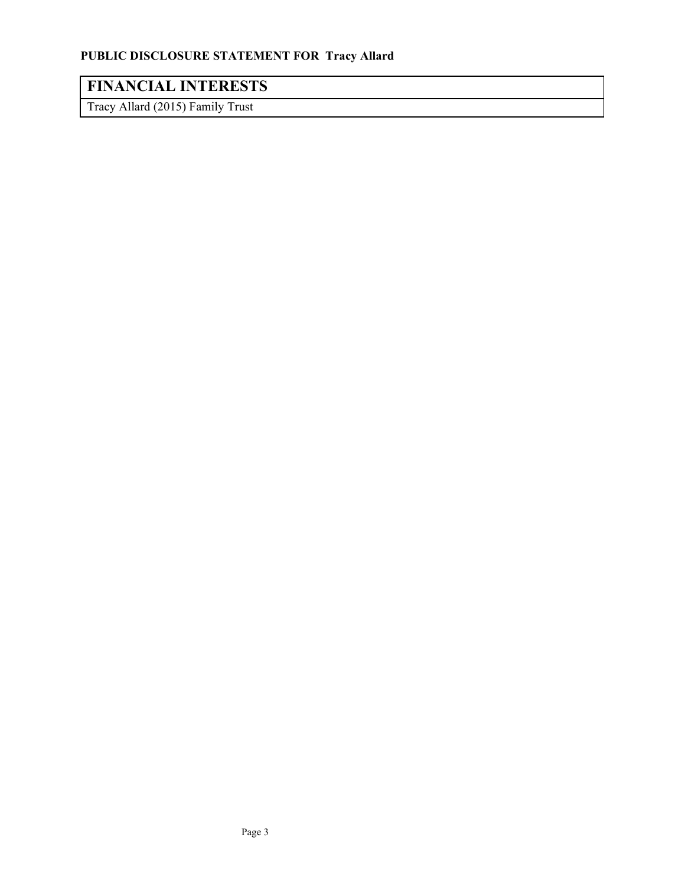# **FINANCIAL INTERESTS**

Tracy Allard (2015) Family Trust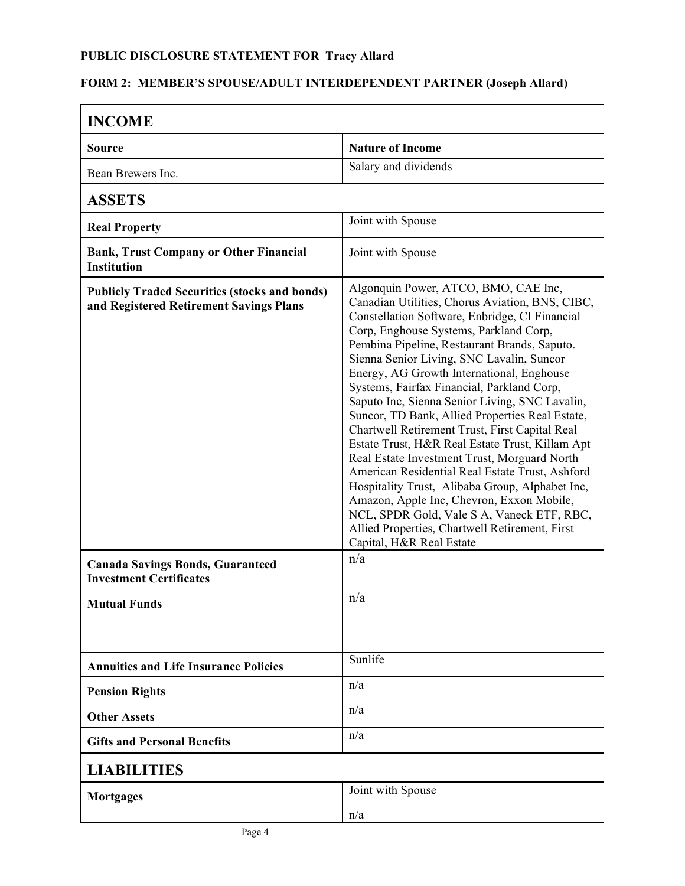### **FORM 2: MEMBER'S SPOUSE/ADULT INTERDEPENDENT PARTNER (Joseph Allard)**

| <b>INCOME</b>                                                                                   |                                                                                                                                                                                                                                                                                                                                                                                                                                                                                                                                                                                                                                                                                                                                                                                                                                                                                                                      |
|-------------------------------------------------------------------------------------------------|----------------------------------------------------------------------------------------------------------------------------------------------------------------------------------------------------------------------------------------------------------------------------------------------------------------------------------------------------------------------------------------------------------------------------------------------------------------------------------------------------------------------------------------------------------------------------------------------------------------------------------------------------------------------------------------------------------------------------------------------------------------------------------------------------------------------------------------------------------------------------------------------------------------------|
| Source                                                                                          | <b>Nature of Income</b>                                                                                                                                                                                                                                                                                                                                                                                                                                                                                                                                                                                                                                                                                                                                                                                                                                                                                              |
| Bean Brewers Inc.                                                                               | Salary and dividends                                                                                                                                                                                                                                                                                                                                                                                                                                                                                                                                                                                                                                                                                                                                                                                                                                                                                                 |
| <b>ASSETS</b>                                                                                   |                                                                                                                                                                                                                                                                                                                                                                                                                                                                                                                                                                                                                                                                                                                                                                                                                                                                                                                      |
| <b>Real Property</b>                                                                            | Joint with Spouse                                                                                                                                                                                                                                                                                                                                                                                                                                                                                                                                                                                                                                                                                                                                                                                                                                                                                                    |
| <b>Bank, Trust Company or Other Financial</b><br>Institution                                    | Joint with Spouse                                                                                                                                                                                                                                                                                                                                                                                                                                                                                                                                                                                                                                                                                                                                                                                                                                                                                                    |
| <b>Publicly Traded Securities (stocks and bonds)</b><br>and Registered Retirement Savings Plans | Algonquin Power, ATCO, BMO, CAE Inc,<br>Canadian Utilities, Chorus Aviation, BNS, CIBC,<br>Constellation Software, Enbridge, CI Financial<br>Corp, Enghouse Systems, Parkland Corp,<br>Pembina Pipeline, Restaurant Brands, Saputo.<br>Sienna Senior Living, SNC Lavalin, Suncor<br>Energy, AG Growth International, Enghouse<br>Systems, Fairfax Financial, Parkland Corp,<br>Saputo Inc, Sienna Senior Living, SNC Lavalin,<br>Suncor, TD Bank, Allied Properties Real Estate,<br>Chartwell Retirement Trust, First Capital Real<br>Estate Trust, H&R Real Estate Trust, Killam Apt<br>Real Estate Investment Trust, Morguard North<br>American Residential Real Estate Trust, Ashford<br>Hospitality Trust, Alibaba Group, Alphabet Inc,<br>Amazon, Apple Inc, Chevron, Exxon Mobile,<br>NCL, SPDR Gold, Vale S A, Vaneck ETF, RBC,<br>Allied Properties, Chartwell Retirement, First<br>Capital, H&R Real Estate |
| <b>Canada Savings Bonds, Guaranteed</b><br><b>Investment Certificates</b>                       | n/a                                                                                                                                                                                                                                                                                                                                                                                                                                                                                                                                                                                                                                                                                                                                                                                                                                                                                                                  |
| <b>Mutual Funds</b>                                                                             | n/a                                                                                                                                                                                                                                                                                                                                                                                                                                                                                                                                                                                                                                                                                                                                                                                                                                                                                                                  |
| <b>Annuities and Life Insurance Policies</b>                                                    | Sunlife                                                                                                                                                                                                                                                                                                                                                                                                                                                                                                                                                                                                                                                                                                                                                                                                                                                                                                              |
| <b>Pension Rights</b>                                                                           | n/a                                                                                                                                                                                                                                                                                                                                                                                                                                                                                                                                                                                                                                                                                                                                                                                                                                                                                                                  |
| <b>Other Assets</b>                                                                             | n/a                                                                                                                                                                                                                                                                                                                                                                                                                                                                                                                                                                                                                                                                                                                                                                                                                                                                                                                  |
| <b>Gifts and Personal Benefits</b>                                                              | n/a                                                                                                                                                                                                                                                                                                                                                                                                                                                                                                                                                                                                                                                                                                                                                                                                                                                                                                                  |
| <b>LIABILITIES</b>                                                                              |                                                                                                                                                                                                                                                                                                                                                                                                                                                                                                                                                                                                                                                                                                                                                                                                                                                                                                                      |
| <b>Mortgages</b>                                                                                | Joint with Spouse                                                                                                                                                                                                                                                                                                                                                                                                                                                                                                                                                                                                                                                                                                                                                                                                                                                                                                    |
|                                                                                                 | n/a                                                                                                                                                                                                                                                                                                                                                                                                                                                                                                                                                                                                                                                                                                                                                                                                                                                                                                                  |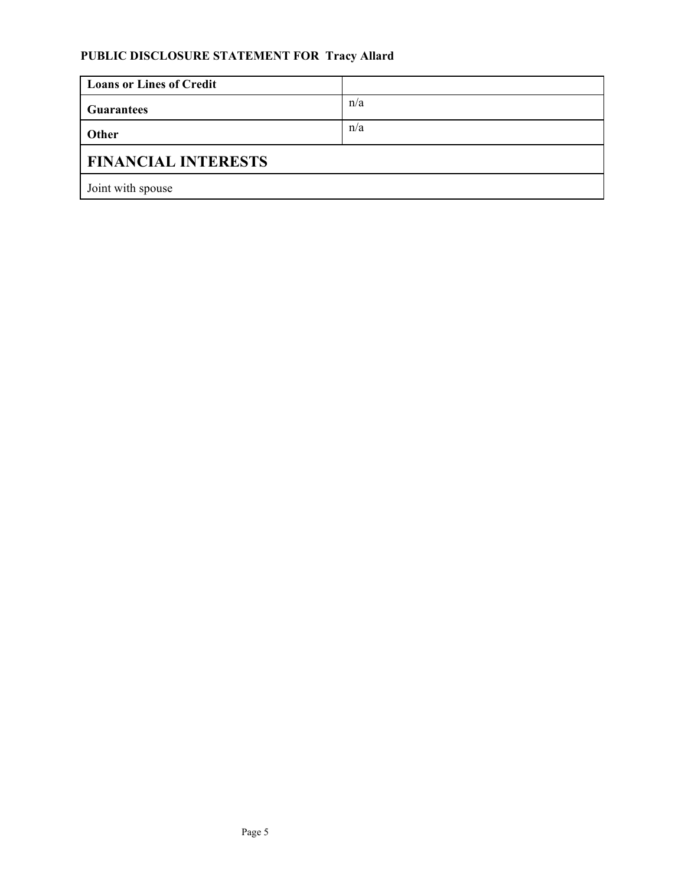| <b>Loans or Lines of Credit</b> |     |
|---------------------------------|-----|
| <b>Guarantees</b>               | n/a |
| Other                           | n/a |
| <b>FINANCIAL INTERESTS</b>      |     |
| Joint with spouse               |     |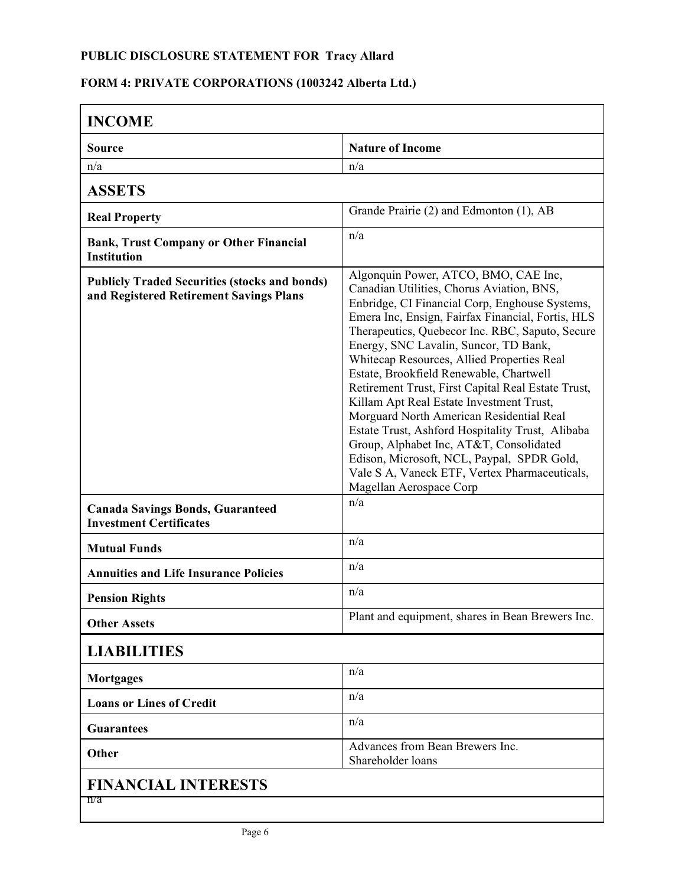# **FORM 4: PRIVATE CORPORATIONS (1003242 Alberta Ltd.)**

| <b>Nature of Income</b><br><b>Source</b><br>n/a<br>n/a<br><b>ASSETS</b><br>Grande Prairie (2) and Edmonton (1), AB<br><b>Real Property</b><br>n/a<br><b>Bank, Trust Company or Other Financial</b><br><b>Institution</b><br>Algonquin Power, ATCO, BMO, CAE Inc,<br><b>Publicly Traded Securities (stocks and bonds)</b><br>Canadian Utilities, Chorus Aviation, BNS,<br>and Registered Retirement Savings Plans<br>Enbridge, CI Financial Corp, Enghouse Systems,<br>Emera Inc, Ensign, Fairfax Financial, Fortis, HLS<br>Therapeutics, Quebecor Inc. RBC, Saputo, Secure<br>Energy, SNC Lavalin, Suncor, TD Bank,<br>Whitecap Resources, Allied Properties Real<br>Estate, Brookfield Renewable, Chartwell<br>Retirement Trust, First Capital Real Estate Trust,<br>Killam Apt Real Estate Investment Trust,<br>Morguard North American Residential Real<br>Estate Trust, Ashford Hospitality Trust, Alibaba<br>Group, Alphabet Inc, AT&T, Consolidated<br>Edison, Microsoft, NCL, Paypal, SPDR Gold,<br>Vale S A, Vaneck ETF, Vertex Pharmaceuticals,<br>Magellan Aerospace Corp<br>n/a<br><b>Canada Savings Bonds, Guaranteed</b><br><b>Investment Certificates</b><br>n/a<br><b>Mutual Funds</b><br>n/a<br><b>Annuities and Life Insurance Policies</b><br>n/a<br><b>Pension Rights</b><br>Plant and equipment, shares in Bean Brewers Inc.<br><b>Other Assets</b><br><b>LIABILITIES</b><br>n/a<br><b>Mortgages</b><br>n/a<br><b>Loans or Lines of Credit</b><br>n/a<br><b>Guarantees</b><br>Advances from Bean Brewers Inc.<br>Other<br>Shareholder loans<br><b>FINANCIAL INTERESTS</b><br>n/a | <b>INCOME</b> |  |
|------------------------------------------------------------------------------------------------------------------------------------------------------------------------------------------------------------------------------------------------------------------------------------------------------------------------------------------------------------------------------------------------------------------------------------------------------------------------------------------------------------------------------------------------------------------------------------------------------------------------------------------------------------------------------------------------------------------------------------------------------------------------------------------------------------------------------------------------------------------------------------------------------------------------------------------------------------------------------------------------------------------------------------------------------------------------------------------------------------------------------------------------------------------------------------------------------------------------------------------------------------------------------------------------------------------------------------------------------------------------------------------------------------------------------------------------------------------------------------------------------------------------------------------------------------------------------------------------------|---------------|--|
|                                                                                                                                                                                                                                                                                                                                                                                                                                                                                                                                                                                                                                                                                                                                                                                                                                                                                                                                                                                                                                                                                                                                                                                                                                                                                                                                                                                                                                                                                                                                                                                                      |               |  |
|                                                                                                                                                                                                                                                                                                                                                                                                                                                                                                                                                                                                                                                                                                                                                                                                                                                                                                                                                                                                                                                                                                                                                                                                                                                                                                                                                                                                                                                                                                                                                                                                      |               |  |
|                                                                                                                                                                                                                                                                                                                                                                                                                                                                                                                                                                                                                                                                                                                                                                                                                                                                                                                                                                                                                                                                                                                                                                                                                                                                                                                                                                                                                                                                                                                                                                                                      |               |  |
|                                                                                                                                                                                                                                                                                                                                                                                                                                                                                                                                                                                                                                                                                                                                                                                                                                                                                                                                                                                                                                                                                                                                                                                                                                                                                                                                                                                                                                                                                                                                                                                                      |               |  |
|                                                                                                                                                                                                                                                                                                                                                                                                                                                                                                                                                                                                                                                                                                                                                                                                                                                                                                                                                                                                                                                                                                                                                                                                                                                                                                                                                                                                                                                                                                                                                                                                      |               |  |
|                                                                                                                                                                                                                                                                                                                                                                                                                                                                                                                                                                                                                                                                                                                                                                                                                                                                                                                                                                                                                                                                                                                                                                                                                                                                                                                                                                                                                                                                                                                                                                                                      |               |  |
|                                                                                                                                                                                                                                                                                                                                                                                                                                                                                                                                                                                                                                                                                                                                                                                                                                                                                                                                                                                                                                                                                                                                                                                                                                                                                                                                                                                                                                                                                                                                                                                                      |               |  |
|                                                                                                                                                                                                                                                                                                                                                                                                                                                                                                                                                                                                                                                                                                                                                                                                                                                                                                                                                                                                                                                                                                                                                                                                                                                                                                                                                                                                                                                                                                                                                                                                      |               |  |
|                                                                                                                                                                                                                                                                                                                                                                                                                                                                                                                                                                                                                                                                                                                                                                                                                                                                                                                                                                                                                                                                                                                                                                                                                                                                                                                                                                                                                                                                                                                                                                                                      |               |  |
|                                                                                                                                                                                                                                                                                                                                                                                                                                                                                                                                                                                                                                                                                                                                                                                                                                                                                                                                                                                                                                                                                                                                                                                                                                                                                                                                                                                                                                                                                                                                                                                                      |               |  |
|                                                                                                                                                                                                                                                                                                                                                                                                                                                                                                                                                                                                                                                                                                                                                                                                                                                                                                                                                                                                                                                                                                                                                                                                                                                                                                                                                                                                                                                                                                                                                                                                      |               |  |
|                                                                                                                                                                                                                                                                                                                                                                                                                                                                                                                                                                                                                                                                                                                                                                                                                                                                                                                                                                                                                                                                                                                                                                                                                                                                                                                                                                                                                                                                                                                                                                                                      |               |  |
|                                                                                                                                                                                                                                                                                                                                                                                                                                                                                                                                                                                                                                                                                                                                                                                                                                                                                                                                                                                                                                                                                                                                                                                                                                                                                                                                                                                                                                                                                                                                                                                                      |               |  |
|                                                                                                                                                                                                                                                                                                                                                                                                                                                                                                                                                                                                                                                                                                                                                                                                                                                                                                                                                                                                                                                                                                                                                                                                                                                                                                                                                                                                                                                                                                                                                                                                      |               |  |
|                                                                                                                                                                                                                                                                                                                                                                                                                                                                                                                                                                                                                                                                                                                                                                                                                                                                                                                                                                                                                                                                                                                                                                                                                                                                                                                                                                                                                                                                                                                                                                                                      |               |  |
|                                                                                                                                                                                                                                                                                                                                                                                                                                                                                                                                                                                                                                                                                                                                                                                                                                                                                                                                                                                                                                                                                                                                                                                                                                                                                                                                                                                                                                                                                                                                                                                                      |               |  |
|                                                                                                                                                                                                                                                                                                                                                                                                                                                                                                                                                                                                                                                                                                                                                                                                                                                                                                                                                                                                                                                                                                                                                                                                                                                                                                                                                                                                                                                                                                                                                                                                      |               |  |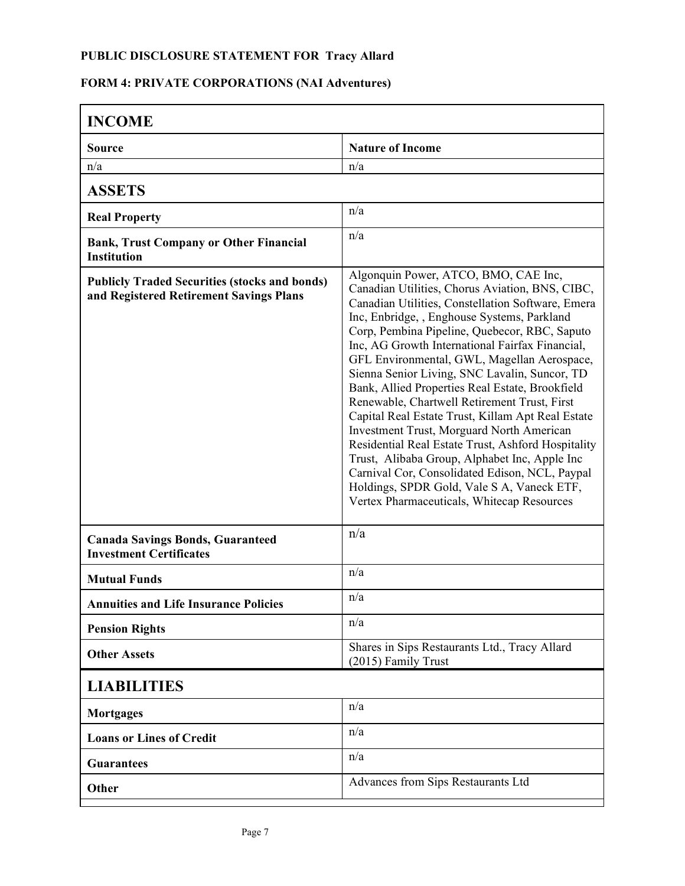# **FORM 4: PRIVATE CORPORATIONS (NAI Adventures)**

| <b>INCOME</b>                                                                                   |                                                                                                                                                                                                                                                                                                                                                                                                                                                                                                                                                                                                                                                                                                                                                                                                                                                           |
|-------------------------------------------------------------------------------------------------|-----------------------------------------------------------------------------------------------------------------------------------------------------------------------------------------------------------------------------------------------------------------------------------------------------------------------------------------------------------------------------------------------------------------------------------------------------------------------------------------------------------------------------------------------------------------------------------------------------------------------------------------------------------------------------------------------------------------------------------------------------------------------------------------------------------------------------------------------------------|
| <b>Source</b>                                                                                   | <b>Nature of Income</b>                                                                                                                                                                                                                                                                                                                                                                                                                                                                                                                                                                                                                                                                                                                                                                                                                                   |
| n/a                                                                                             | n/a                                                                                                                                                                                                                                                                                                                                                                                                                                                                                                                                                                                                                                                                                                                                                                                                                                                       |
| <b>ASSETS</b>                                                                                   |                                                                                                                                                                                                                                                                                                                                                                                                                                                                                                                                                                                                                                                                                                                                                                                                                                                           |
| <b>Real Property</b>                                                                            | n/a                                                                                                                                                                                                                                                                                                                                                                                                                                                                                                                                                                                                                                                                                                                                                                                                                                                       |
| <b>Bank, Trust Company or Other Financial</b><br><b>Institution</b>                             | n/a                                                                                                                                                                                                                                                                                                                                                                                                                                                                                                                                                                                                                                                                                                                                                                                                                                                       |
| <b>Publicly Traded Securities (stocks and bonds)</b><br>and Registered Retirement Savings Plans | Algonquin Power, ATCO, BMO, CAE Inc,<br>Canadian Utilities, Chorus Aviation, BNS, CIBC,<br>Canadian Utilities, Constellation Software, Emera<br>Inc, Enbridge, , Enghouse Systems, Parkland<br>Corp, Pembina Pipeline, Quebecor, RBC, Saputo<br>Inc, AG Growth International Fairfax Financial,<br>GFL Environmental, GWL, Magellan Aerospace,<br>Sienna Senior Living, SNC Lavalin, Suncor, TD<br>Bank, Allied Properties Real Estate, Brookfield<br>Renewable, Chartwell Retirement Trust, First<br>Capital Real Estate Trust, Killam Apt Real Estate<br>Investment Trust, Morguard North American<br>Residential Real Estate Trust, Ashford Hospitality<br>Trust, Alibaba Group, Alphabet Inc, Apple Inc<br>Carnival Cor, Consolidated Edison, NCL, Paypal<br>Holdings, SPDR Gold, Vale S A, Vaneck ETF,<br>Vertex Pharmaceuticals, Whitecap Resources |
| <b>Canada Savings Bonds, Guaranteed</b><br><b>Investment Certificates</b>                       | n/a                                                                                                                                                                                                                                                                                                                                                                                                                                                                                                                                                                                                                                                                                                                                                                                                                                                       |
| <b>Mutual Funds</b>                                                                             | n/a                                                                                                                                                                                                                                                                                                                                                                                                                                                                                                                                                                                                                                                                                                                                                                                                                                                       |
| <b>Annuities and Life Insurance Policies</b>                                                    | n/a                                                                                                                                                                                                                                                                                                                                                                                                                                                                                                                                                                                                                                                                                                                                                                                                                                                       |
| <b>Pension Rights</b>                                                                           | n/a                                                                                                                                                                                                                                                                                                                                                                                                                                                                                                                                                                                                                                                                                                                                                                                                                                                       |
| <b>Other Assets</b>                                                                             | Shares in Sips Restaurants Ltd., Tracy Allard<br>(2015) Family Trust                                                                                                                                                                                                                                                                                                                                                                                                                                                                                                                                                                                                                                                                                                                                                                                      |
| <b>LIABILITIES</b>                                                                              |                                                                                                                                                                                                                                                                                                                                                                                                                                                                                                                                                                                                                                                                                                                                                                                                                                                           |
| <b>Mortgages</b>                                                                                | n/a                                                                                                                                                                                                                                                                                                                                                                                                                                                                                                                                                                                                                                                                                                                                                                                                                                                       |
| <b>Loans or Lines of Credit</b>                                                                 | n/a                                                                                                                                                                                                                                                                                                                                                                                                                                                                                                                                                                                                                                                                                                                                                                                                                                                       |
| <b>Guarantees</b>                                                                               | n/a                                                                                                                                                                                                                                                                                                                                                                                                                                                                                                                                                                                                                                                                                                                                                                                                                                                       |
| Other                                                                                           | Advances from Sips Restaurants Ltd                                                                                                                                                                                                                                                                                                                                                                                                                                                                                                                                                                                                                                                                                                                                                                                                                        |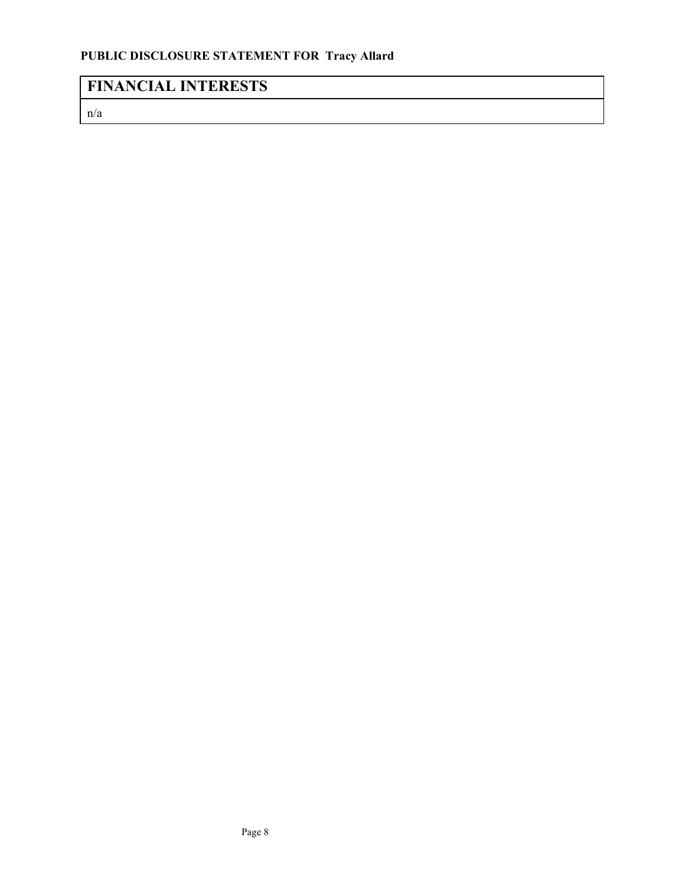# **FINANCIAL INTERESTS**

n/a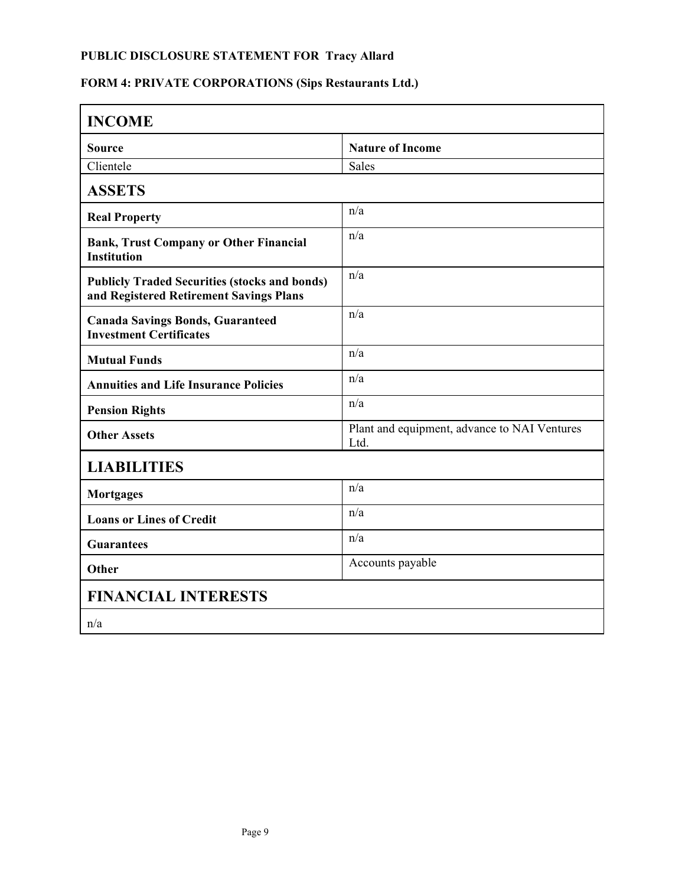# **FORM 4: PRIVATE CORPORATIONS (Sips Restaurants Ltd.)**

| <b>INCOME</b>                                                                                   |                                                      |
|-------------------------------------------------------------------------------------------------|------------------------------------------------------|
| <b>Source</b>                                                                                   | <b>Nature of Income</b>                              |
| Clientele                                                                                       | <b>Sales</b>                                         |
| <b>ASSETS</b>                                                                                   |                                                      |
| <b>Real Property</b>                                                                            | n/a                                                  |
| <b>Bank, Trust Company or Other Financial</b><br><b>Institution</b>                             | n/a                                                  |
| <b>Publicly Traded Securities (stocks and bonds)</b><br>and Registered Retirement Savings Plans | n/a                                                  |
| <b>Canada Savings Bonds, Guaranteed</b><br><b>Investment Certificates</b>                       | n/a                                                  |
| <b>Mutual Funds</b>                                                                             | n/a                                                  |
| <b>Annuities and Life Insurance Policies</b>                                                    | n/a                                                  |
| <b>Pension Rights</b>                                                                           | n/a                                                  |
| <b>Other Assets</b>                                                                             | Plant and equipment, advance to NAI Ventures<br>Ltd. |
| <b>LIABILITIES</b>                                                                              |                                                      |
| <b>Mortgages</b>                                                                                | n/a                                                  |
| <b>Loans or Lines of Credit</b>                                                                 | n/a                                                  |
| <b>Guarantees</b>                                                                               | n/a                                                  |
| Other                                                                                           | Accounts payable                                     |
| <b>FINANCIAL INTERESTS</b>                                                                      |                                                      |
| n/a                                                                                             |                                                      |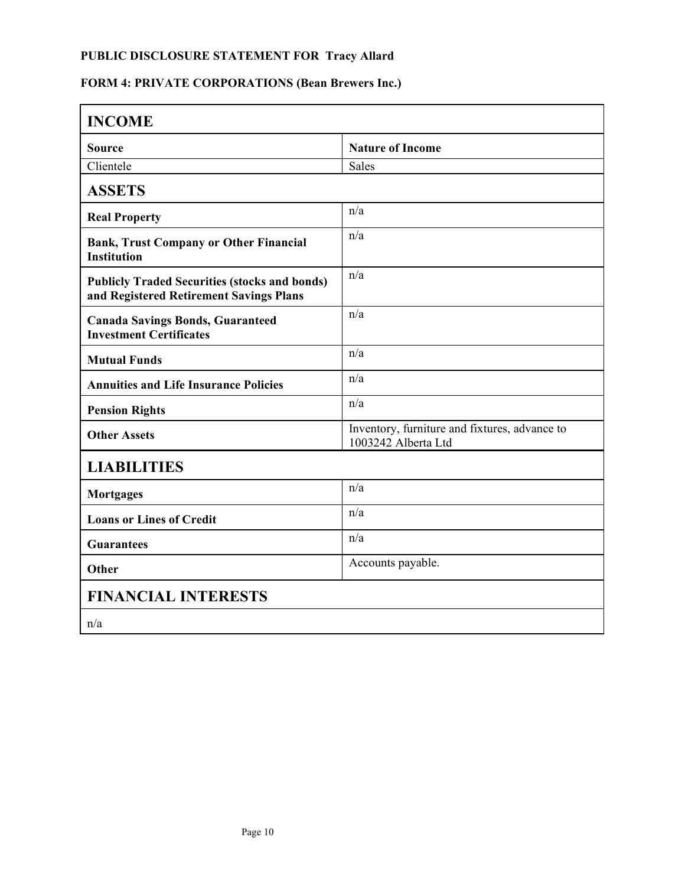# **FORM 4: PRIVATE CORPORATIONS (Bean Brewers Inc.)**

| <b>INCOME</b>                                                                                   |                                                                      |
|-------------------------------------------------------------------------------------------------|----------------------------------------------------------------------|
| <b>Source</b>                                                                                   | <b>Nature of Income</b>                                              |
| Clientele                                                                                       | <b>Sales</b>                                                         |
| <b>ASSETS</b>                                                                                   |                                                                      |
| <b>Real Property</b>                                                                            | n/a                                                                  |
| <b>Bank, Trust Company or Other Financial</b><br><b>Institution</b>                             | n/a                                                                  |
| <b>Publicly Traded Securities (stocks and bonds)</b><br>and Registered Retirement Savings Plans | n/a                                                                  |
| <b>Canada Savings Bonds, Guaranteed</b><br><b>Investment Certificates</b>                       | n/a                                                                  |
| <b>Mutual Funds</b>                                                                             | n/a                                                                  |
| <b>Annuities and Life Insurance Policies</b>                                                    | n/a                                                                  |
| <b>Pension Rights</b>                                                                           | n/a                                                                  |
| <b>Other Assets</b>                                                                             | Inventory, furniture and fixtures, advance to<br>1003242 Alberta Ltd |
| <b>LIABILITIES</b>                                                                              |                                                                      |
| <b>Mortgages</b>                                                                                | n/a                                                                  |
| <b>Loans or Lines of Credit</b>                                                                 | n/a                                                                  |
| <b>Guarantees</b>                                                                               | n/a                                                                  |
| Other                                                                                           | Accounts payable.                                                    |
| <b>FINANCIAL INTERESTS</b>                                                                      |                                                                      |
| n/a                                                                                             |                                                                      |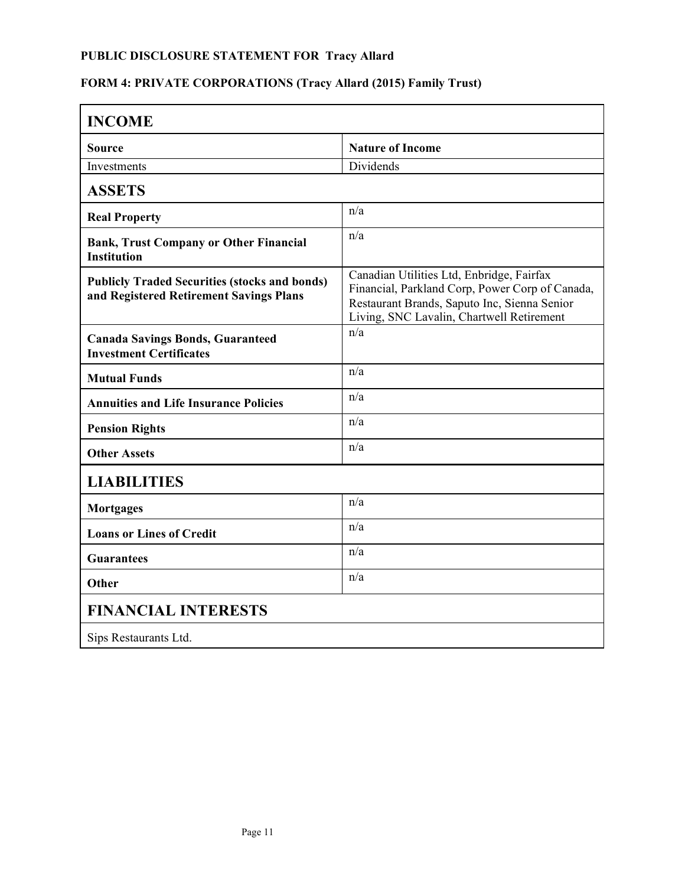# **FORM 4: PRIVATE CORPORATIONS (Tracy Allard (2015) Family Trust)**

| <b>INCOME</b>                                                                                   |                                                                                                                                                                                           |
|-------------------------------------------------------------------------------------------------|-------------------------------------------------------------------------------------------------------------------------------------------------------------------------------------------|
| Source                                                                                          | <b>Nature of Income</b>                                                                                                                                                                   |
| Investments                                                                                     | Dividends                                                                                                                                                                                 |
| <b>ASSETS</b>                                                                                   |                                                                                                                                                                                           |
| <b>Real Property</b>                                                                            | n/a                                                                                                                                                                                       |
| <b>Bank, Trust Company or Other Financial</b><br><b>Institution</b>                             | n/a                                                                                                                                                                                       |
| <b>Publicly Traded Securities (stocks and bonds)</b><br>and Registered Retirement Savings Plans | Canadian Utilities Ltd, Enbridge, Fairfax<br>Financial, Parkland Corp, Power Corp of Canada,<br>Restaurant Brands, Saputo Inc, Sienna Senior<br>Living, SNC Lavalin, Chartwell Retirement |
| <b>Canada Savings Bonds, Guaranteed</b><br><b>Investment Certificates</b>                       | n/a                                                                                                                                                                                       |
| <b>Mutual Funds</b>                                                                             | n/a                                                                                                                                                                                       |
| <b>Annuities and Life Insurance Policies</b>                                                    | n/a                                                                                                                                                                                       |
| <b>Pension Rights</b>                                                                           | n/a                                                                                                                                                                                       |
| <b>Other Assets</b>                                                                             | n/a                                                                                                                                                                                       |
| <b>LIABILITIES</b>                                                                              |                                                                                                                                                                                           |
| <b>Mortgages</b>                                                                                | n/a                                                                                                                                                                                       |
| <b>Loans or Lines of Credit</b>                                                                 | n/a                                                                                                                                                                                       |
| <b>Guarantees</b>                                                                               | n/a                                                                                                                                                                                       |
| <b>Other</b>                                                                                    | n/a                                                                                                                                                                                       |
| <b>FINANCIAL INTERESTS</b>                                                                      |                                                                                                                                                                                           |
| Sips Restaurants Ltd.                                                                           |                                                                                                                                                                                           |